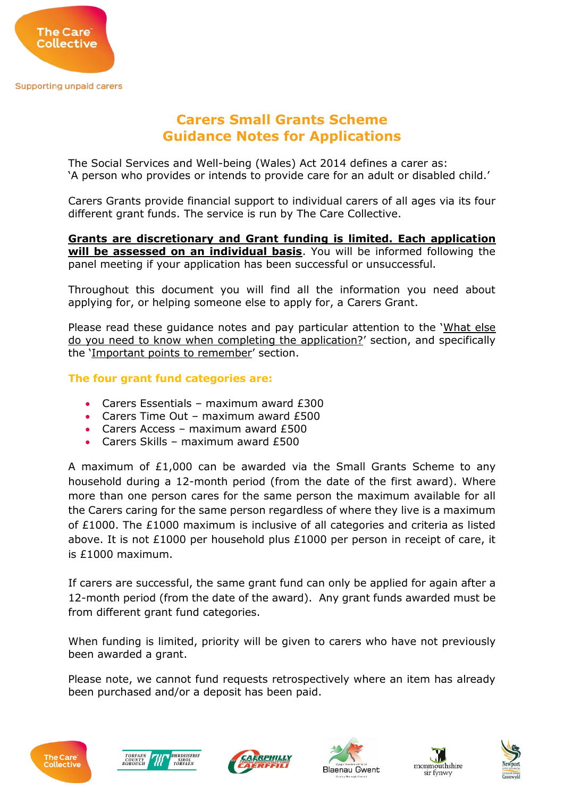

# **Carers Small Grants Scheme Guidance Notes for Applications**

The Social Services and Well-being (Wales) Act 2014 defines a carer as: 'A person who provides or intends to provide care for an adult or disabled child.'

Carers Grants provide financial support to individual carers of all ages via its four different grant funds. The service is run by The Care Collective.

**Grants are discretionary and Grant funding is limited. Each application will be assessed on an individual basis**. You will be informed following the panel meeting if your application has been successful or unsuccessful.

Throughout this document you will find all the information you need about applying for, or helping someone else to apply for, a Carers Grant.

Please read these guidance notes and pay particular attention to the 'What else do you need to know when completing the application?' section, and specifically the 'Important points to remember' section.

## **The four grant fund categories are:**

- Carers Essentials maximum award £300
- Carers Time Out maximum award £500
- Carers Access maximum award £500
- Carers Skills maximum award £500

A maximum of £1,000 can be awarded via the Small Grants Scheme to any household during a 12-month period (from the date of the first award). Where more than one person cares for the same person the maximum available for all the Carers caring for the same person regardless of where they live is a maximum of £1000. The £1000 maximum is inclusive of all categories and criteria as listed above. It is not £1000 per household plus £1000 per person in receipt of care, it is £1000 maximum.

If carers are successful, the same grant fund can only be applied for again after a 12-month period (from the date of the award). Any grant funds awarded must be from different grant fund categories.

When funding is limited, priority will be given to carers who have not previously been awarded a grant.

Please note, we cannot fund requests retrospectively where an item has already been purchased and/or a deposit has been paid.











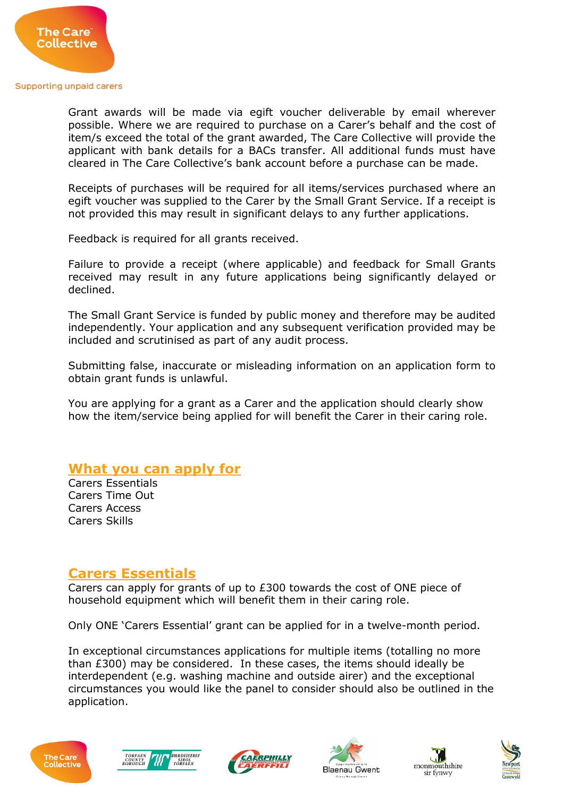

Grant awards will be made via egift voucher deliverable by email wherever possible. Where we are required to purchase on a Carer's behalf and the cost of item/s exceed the total of the grant awarded, The Care Collective will provide the applicant with bank details for a BACs transfer. All additional funds must have cleared in The Care Collective's bank account before a purchase can be made.

Receipts of purchases will be required for all items/services purchased where an egift voucher was supplied to the Carer by the Small Grant Service. If a receipt is not provided this may result in significant delays to any further applications.

Feedback is required for all grants received.

Failure to provide a receipt (where applicable) and feedback for Small Grants received may result in any future applications being significantly delayed or declined.

The Small Grant Service is funded by public money and therefore may be audited independently. Your application and any subsequent verification provided may be included and scrutinised as part of any audit process.

Submitting false, inaccurate or misleading information on an application form to obtain grant funds is unlawful.

You are applying for a grant as a Carer and the application should clearly show how the item/service being applied for will benefit the Carer in their caring role.

# **What you can apply for**

Carers Essentials Carers Time Out Carers Access Carers Skills

# **Carers Essentials**

Carers can apply for grants of up to £300 towards the cost of ONE piece of household equipment which will benefit them in their caring role.

Only ONE 'Carers Essential' grant can be applied for in a twelve-month period.

In exceptional circumstances applications for multiple items (totalling no more than £300) may be considered. In these cases, the items should ideally be interdependent (e.g. washing machine and outside airer) and the exceptional circumstances you would like the panel to consider should also be outlined in the application.











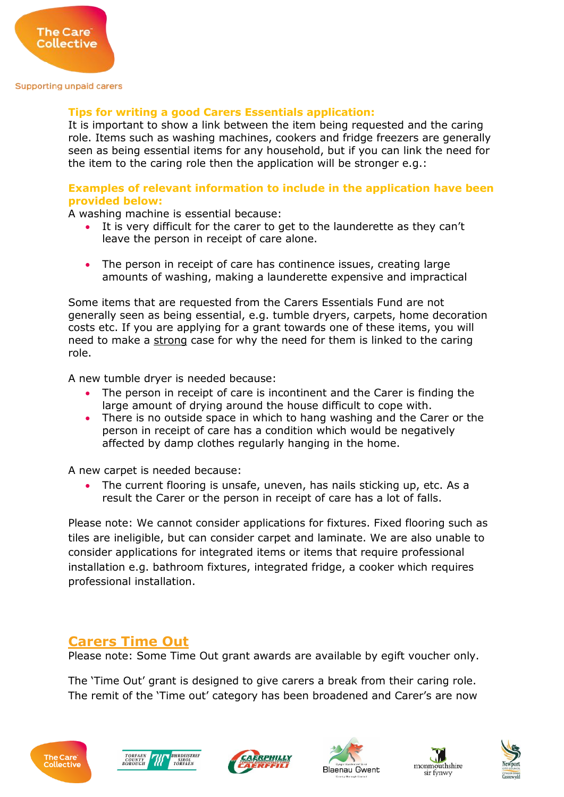

## **Tips for writing a good Carers Essentials application:**

It is important to show a link between the item being requested and the caring role. Items such as washing machines, cookers and fridge freezers are generally seen as being essential items for any household, but if you can link the need for the item to the caring role then the application will be stronger e.g.:

## **Examples of relevant information to include in the application have been provided below:**

A washing machine is essential because:

- It is very difficult for the carer to get to the launderette as they can't leave the person in receipt of care alone.
- The person in receipt of care has continence issues, creating large amounts of washing, making a launderette expensive and impractical

Some items that are requested from the Carers Essentials Fund are not generally seen as being essential, e.g. tumble dryers, carpets, home decoration costs etc. If you are applying for a grant towards one of these items, you will need to make a strong case for why the need for them is linked to the caring role.

A new tumble dryer is needed because:

- The person in receipt of care is incontinent and the Carer is finding the large amount of drying around the house difficult to cope with.
- There is no outside space in which to hang washing and the Carer or the person in receipt of care has a condition which would be negatively affected by damp clothes regularly hanging in the home.

A new carpet is needed because:

 The current flooring is unsafe, uneven, has nails sticking up, etc. As a result the Carer or the person in receipt of care has a lot of falls.

Please note: We cannot consider applications for fixtures. Fixed flooring such as tiles are ineligible, but can consider carpet and laminate. We are also unable to consider applications for integrated items or items that require professional installation e.g. bathroom fixtures, integrated fridge, a cooker which requires professional installation.

## **Carers Time Out**

Please note: Some Time Out grant awards are available by egift voucher only.

The 'Time Out' grant is designed to give carers a break from their caring role. The remit of the 'Time out' category has been broadened and Carer's are now











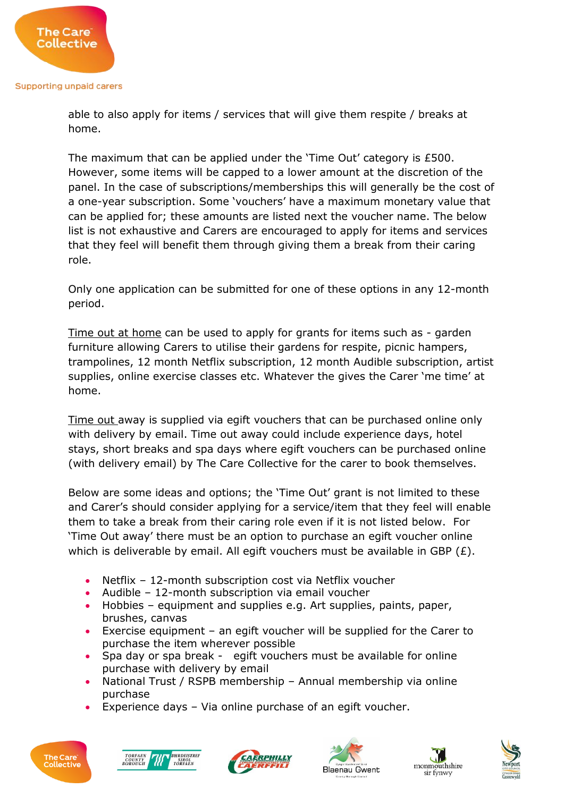The Care **Collective** 

> able to also apply for items / services that will give them respite / breaks at home.

The maximum that can be applied under the 'Time Out' category is £500. However, some items will be capped to a lower amount at the discretion of the panel. In the case of subscriptions/memberships this will generally be the cost of a one-year subscription. Some 'vouchers' have a maximum monetary value that can be applied for; these amounts are listed next the voucher name. The below list is not exhaustive and Carers are encouraged to apply for items and services that they feel will benefit them through giving them a break from their caring role.

Only one application can be submitted for one of these options in any 12-month period.

Time out at home can be used to apply for grants for items such as - garden furniture allowing Carers to utilise their gardens for respite, picnic hampers, trampolines, 12 month Netflix subscription, 12 month Audible subscription, artist supplies, online exercise classes etc. Whatever the gives the Carer 'me time' at home.

Time out away is supplied via egift vouchers that can be purchased online only with delivery by email. Time out away could include experience days, hotel stays, short breaks and spa days where egift vouchers can be purchased online (with delivery email) by The Care Collective for the carer to book themselves.

Below are some ideas and options; the 'Time Out' grant is not limited to these and Carer's should consider applying for a service/item that they feel will enable them to take a break from their caring role even if it is not listed below. For 'Time Out away' there must be an option to purchase an egift voucher online which is deliverable by email. All egift vouchers must be available in GBP  $(E)$ .

- Netflix 12-month subscription cost via Netflix voucher
- Audible 12-month subscription via email voucher
- Hobbies equipment and supplies e.g. Art supplies, paints, paper, brushes, canvas
- Exercise equipment an egift voucher will be supplied for the Carer to purchase the item wherever possible
- Spa day or spa break egift vouchers must be available for online purchase with delivery by email
- National Trust / RSPB membership Annual membership via online purchase
- Experience days Via online purchase of an egift voucher.











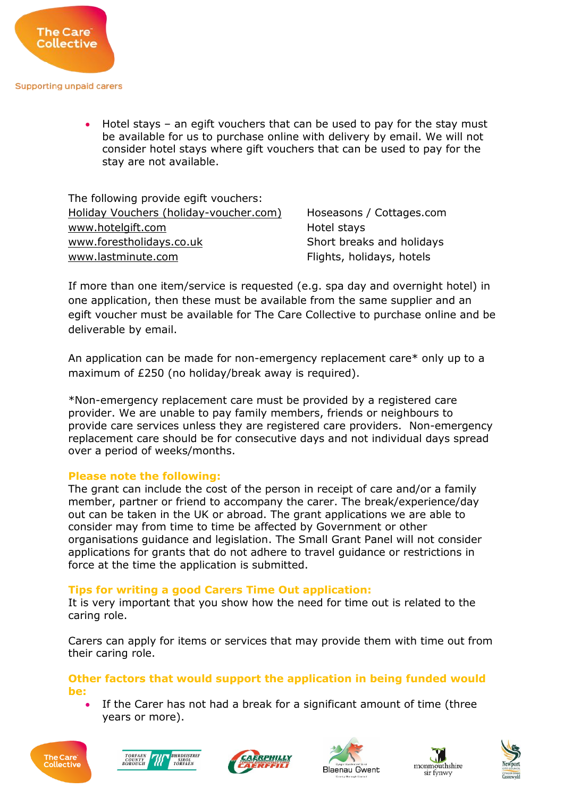

 Hotel stays – an egift vouchers that can be used to pay for the stay must be available for us to purchase online with delivery by email. We will not consider hotel stays where gift vouchers that can be used to pay for the stay are not available.

The following provide egift vouchers: [Holiday Vouchers \(holiday-voucher.com\)](https://www.holiday-voucher.com/) Hoseasons / Cottages.com [www.hotelgift.com](http://www.hotelgift.com/) https://www.hotelgift.com [www.forestholidays.co.uk](http://www.forestholidays.co.uk/) Short breaks and holidays [www.lastminute.com](http://www.lastminute.com/) **Flights, holidays, hotels** 

If more than one item/service is requested (e.g. spa day and overnight hotel) in one application, then these must be available from the same supplier and an egift voucher must be available for The Care Collective to purchase online and be deliverable by email.

An application can be made for non-emergency replacement care\* only up to a maximum of £250 (no holiday/break away is required).

\*Non-emergency replacement care must be provided by a registered care provider. We are unable to pay family members, friends or neighbours to provide care services unless they are registered care providers. Non-emergency replacement care should be for consecutive days and not individual days spread over a period of weeks/months.

## **Please note the following:**

The grant can include the cost of the person in receipt of care and/or a family member, partner or friend to accompany the carer. The break/experience/day out can be taken in the UK or abroad. The grant applications we are able to consider may from time to time be affected by Government or other organisations guidance and legislation. The Small Grant Panel will not consider applications for grants that do not adhere to travel guidance or restrictions in force at the time the application is submitted.

## **Tips for writing a good Carers Time Out application:**

It is very important that you show how the need for time out is related to the caring role.

Carers can apply for items or services that may provide them with time out from their caring role.

**Other factors that would support the application in being funded would be:**

 If the Carer has not had a break for a significant amount of time (three years or more).











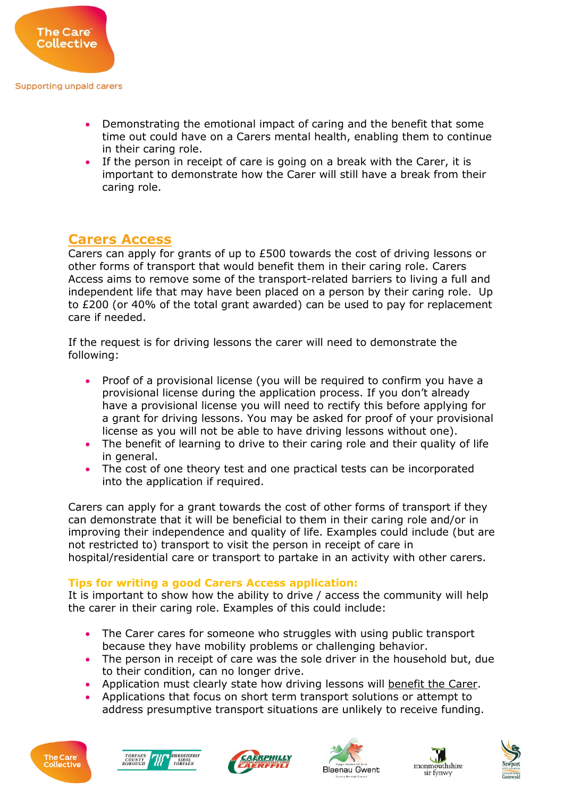

- Demonstrating the emotional impact of caring and the benefit that some time out could have on a Carers mental health, enabling them to continue in their caring role.
- If the person in receipt of care is going on a break with the Carer, it is important to demonstrate how the Carer will still have a break from their caring role.

# **Carers Access**

Carers can apply for grants of up to £500 towards the cost of driving lessons or other forms of transport that would benefit them in their caring role. Carers Access aims to remove some of the transport-related barriers to living a full and independent life that may have been placed on a person by their caring role. Up to £200 (or 40% of the total grant awarded) can be used to pay for replacement care if needed.

If the request is for driving lessons the carer will need to demonstrate the following:

- Proof of a provisional license (you will be required to confirm you have a provisional license during the application process. If you don't already have a provisional license you will need to rectify this before applying for a grant for driving lessons. You may be asked for proof of your provisional license as you will not be able to have driving lessons without one).
- The benefit of learning to drive to their caring role and their quality of life in general.
- The cost of one theory test and one practical tests can be incorporated into the application if required.

Carers can apply for a grant towards the cost of other forms of transport if they can demonstrate that it will be beneficial to them in their caring role and/or in improving their independence and quality of life. Examples could include (but are not restricted to) transport to visit the person in receipt of care in hospital/residential care or transport to partake in an activity with other carers.

## **Tips for writing a good Carers Access application:**

It is important to show how the ability to drive / access the community will help the carer in their caring role. Examples of this could include:

- The Carer cares for someone who struggles with using public transport because they have mobility problems or challenging behavior.
- The person in receipt of care was the sole driver in the household but, due to their condition, can no longer drive.
- Application must clearly state how driving lessons will benefit the Carer.
- Applications that focus on short term transport solutions or attempt to address presumptive transport situations are unlikely to receive funding.











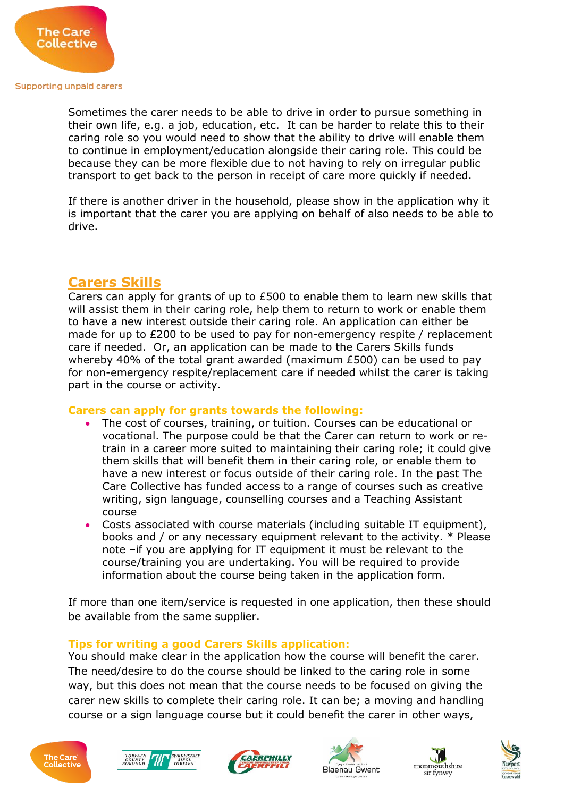

Sometimes the carer needs to be able to drive in order to pursue something in their own life, e.g. a job, education, etc. It can be harder to relate this to their caring role so you would need to show that the ability to drive will enable them to continue in employment/education alongside their caring role. This could be because they can be more flexible due to not having to rely on irregular public transport to get back to the person in receipt of care more quickly if needed.

If there is another driver in the household, please show in the application why it is important that the carer you are applying on behalf of also needs to be able to drive.

## **Carers Skills**

Carers can apply for grants of up to £500 to enable them to learn new skills that will assist them in their caring role, help them to return to work or enable them to have a new interest outside their caring role. An application can either be made for up to £200 to be used to pay for non-emergency respite / replacement care if needed. Or, an application can be made to the Carers Skills funds whereby 40% of the total grant awarded (maximum £500) can be used to pay for non-emergency respite/replacement care if needed whilst the carer is taking part in the course or activity.

## **Carers can apply for grants towards the following:**

- The cost of courses, training, or tuition. Courses can be educational or vocational. The purpose could be that the Carer can return to work or retrain in a career more suited to maintaining their caring role; it could give them skills that will benefit them in their caring role, or enable them to have a new interest or focus outside of their caring role. In the past The Care Collective has funded access to a range of courses such as creative writing, sign language, counselling courses and a Teaching Assistant course
- Costs associated with course materials (including suitable IT equipment), books and / or any necessary equipment relevant to the activity. \* Please note –if you are applying for IT equipment it must be relevant to the course/training you are undertaking. You will be required to provide information about the course being taken in the application form.

If more than one item/service is requested in one application, then these should be available from the same supplier.

## **Tips for writing a good Carers Skills application:**

You should make clear in the application how the course will benefit the carer. The need/desire to do the course should be linked to the caring role in some way, but this does not mean that the course needs to be focused on giving the carer new skills to complete their caring role. It can be; a moving and handling course or a sign language course but it could benefit the carer in other ways,











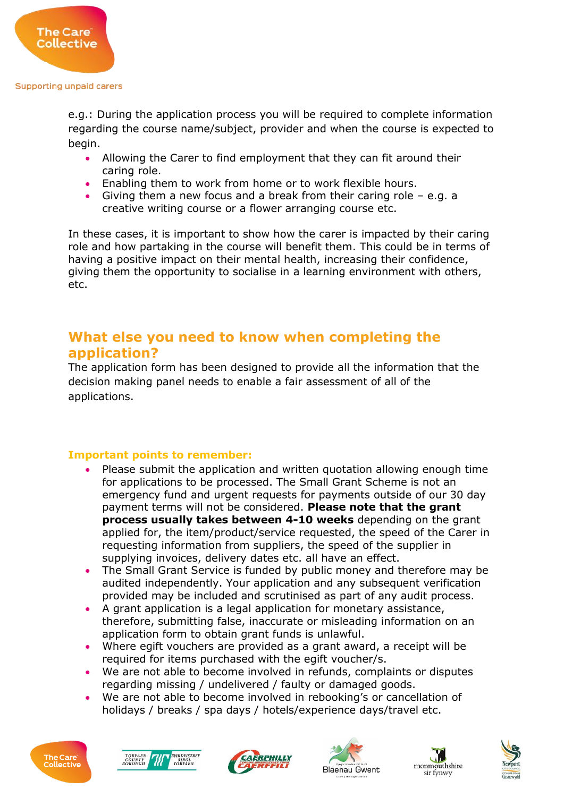

e.g.: During the application process you will be required to complete information regarding the course name/subject, provider and when the course is expected to begin.

- Allowing the Carer to find employment that they can fit around their caring role.
- Enabling them to work from home or to work flexible hours.
- Giving them a new focus and a break from their caring role e.g. a creative writing course or a flower arranging course etc.

In these cases, it is important to show how the carer is impacted by their caring role and how partaking in the course will benefit them. This could be in terms of having a positive impact on their mental health, increasing their confidence, giving them the opportunity to socialise in a learning environment with others, etc.

# **What else you need to know when completing the application?**

The application form has been designed to provide all the information that the decision making panel needs to enable a fair assessment of all of the applications.

## **Important points to remember:**

- Please submit the application and written quotation allowing enough time for applications to be processed. The Small Grant Scheme is not an emergency fund and urgent requests for payments outside of our 30 day payment terms will not be considered. **Please note that the grant process usually takes between 4-10 weeks** depending on the grant applied for, the item/product/service requested, the speed of the Carer in requesting information from suppliers, the speed of the supplier in supplying invoices, delivery dates etc. all have an effect.
- The Small Grant Service is funded by public money and therefore may be audited independently. Your application and any subsequent verification provided may be included and scrutinised as part of any audit process.
- A grant application is a legal application for monetary assistance, therefore, submitting false, inaccurate or misleading information on an application form to obtain grant funds is unlawful.
- Where egift vouchers are provided as a grant award, a receipt will be required for items purchased with the egift voucher/s.
- We are not able to become involved in refunds, complaints or disputes regarding missing / undelivered / faulty or damaged goods.
- We are not able to become involved in rebooking's or cancellation of holidays / breaks / spa days / hotels/experience days/travel etc.











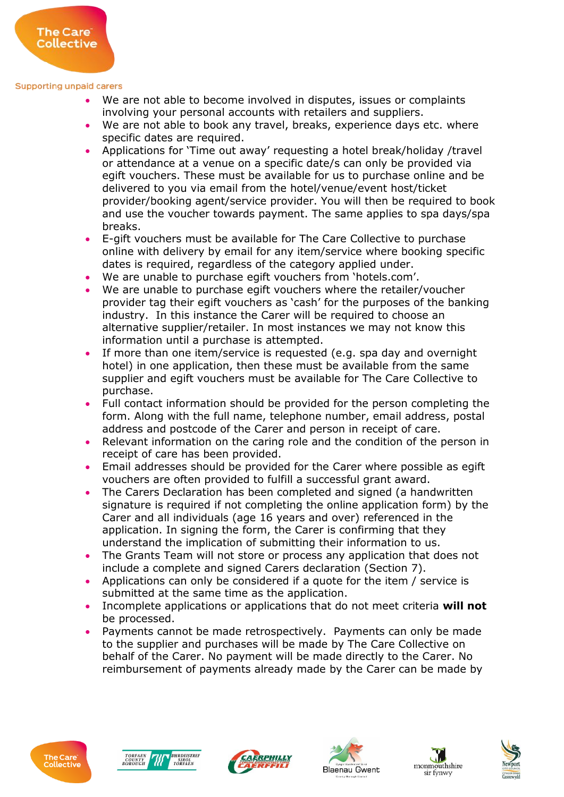The Care<sup>®</sup> Collective

- We are not able to become involved in disputes, issues or complaints involving your personal accounts with retailers and suppliers.
- We are not able to book any travel, breaks, experience days etc. where specific dates are required.
- Applications for 'Time out away' requesting a hotel break/holiday /travel or attendance at a venue on a specific date/s can only be provided via egift vouchers. These must be available for us to purchase online and be delivered to you via email from the hotel/venue/event host/ticket provider/booking agent/service provider. You will then be required to book and use the voucher towards payment. The same applies to spa days/spa breaks.
- E-gift vouchers must be available for The Care Collective to purchase online with delivery by email for any item/service where booking specific dates is required, regardless of the category applied under.
- We are unable to purchase egift vouchers from 'hotels.com'.
- We are unable to purchase egift vouchers where the retailer/voucher provider tag their egift vouchers as 'cash' for the purposes of the banking industry. In this instance the Carer will be required to choose an alternative supplier/retailer. In most instances we may not know this information until a purchase is attempted.
- If more than one item/service is requested (e.g. spa day and overnight hotel) in one application, then these must be available from the same supplier and egift vouchers must be available for The Care Collective to purchase.
- Full contact information should be provided for the person completing the form. Along with the full name, telephone number, email address, postal address and postcode of the Carer and person in receipt of care.
- Relevant information on the caring role and the condition of the person in receipt of care has been provided.
- Email addresses should be provided for the Carer where possible as egift vouchers are often provided to fulfill a successful grant award.
- The Carers Declaration has been completed and signed (a handwritten signature is required if not completing the online application form) by the Carer and all individuals (age 16 years and over) referenced in the application. In signing the form, the Carer is confirming that they understand the implication of submitting their information to us.
- The Grants Team will not store or process any application that does not include a complete and signed Carers declaration (Section 7).
- Applications can only be considered if a quote for the item / service is submitted at the same time as the application.
- Incomplete applications or applications that do not meet criteria **will not** be processed.
- Payments cannot be made retrospectively. Payments can only be made to the supplier and purchases will be made by The Care Collective on behalf of the Carer. No payment will be made directly to the Carer. No reimbursement of payments already made by the Carer can be made by











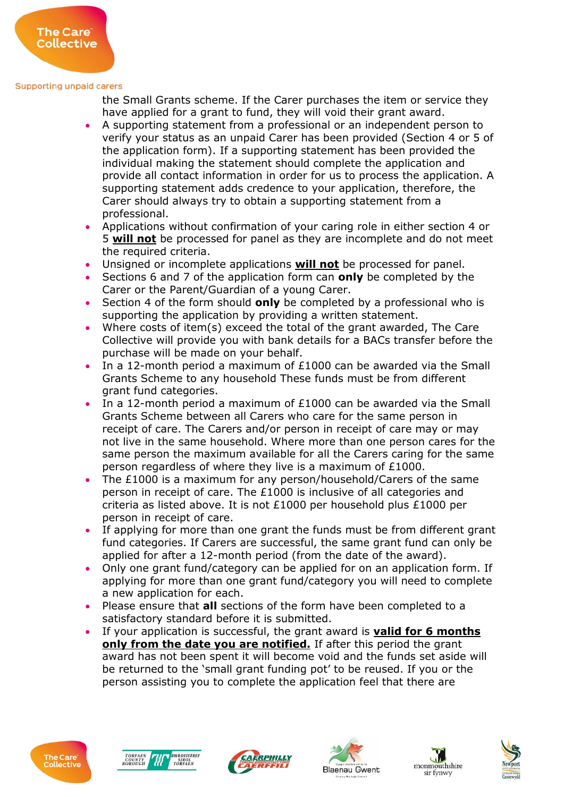The Care<sup>®</sup> Collective

> the Small Grants scheme. If the Carer purchases the item or service they have applied for a grant to fund, they will void their grant award.

- A supporting statement from a professional or an independent person to verify your status as an unpaid Carer has been provided (Section 4 or 5 of the application form). If a supporting statement has been provided the individual making the statement should complete the application and provide all contact information in order for us to process the application. A supporting statement adds credence to your application, therefore, the Carer should always try to obtain a supporting statement from a professional.
- Applications without confirmation of your caring role in either section 4 or 5 **will not** be processed for panel as they are incomplete and do not meet the required criteria.
- Unsigned or incomplete applications **will not** be processed for panel.
- Sections 6 and 7 of the application form can **only** be completed by the Carer or the Parent/Guardian of a young Carer.
- Section 4 of the form should **only** be completed by a professional who is supporting the application by providing a written statement.
- Where costs of item(s) exceed the total of the grant awarded, The Care Collective will provide you with bank details for a BACs transfer before the purchase will be made on your behalf.
- In a 12-month period a maximum of  $£1000$  can be awarded via the Small Grants Scheme to any household These funds must be from different grant fund categories.
- In a 12-month period a maximum of £1000 can be awarded via the Small Grants Scheme between all Carers who care for the same person in receipt of care. The Carers and/or person in receipt of care may or may not live in the same household. Where more than one person cares for the same person the maximum available for all the Carers caring for the same person regardless of where they live is a maximum of £1000.
- The £1000 is a maximum for any person/household/Carers of the same person in receipt of care. The £1000 is inclusive of all categories and criteria as listed above. It is not £1000 per household plus £1000 per person in receipt of care.
- If applying for more than one grant the funds must be from different grant fund categories. If Carers are successful, the same grant fund can only be applied for after a 12-month period (from the date of the award).
- Only one grant fund/category can be applied for on an application form. If applying for more than one grant fund/category you will need to complete a new application for each.
- Please ensure that **all** sections of the form have been completed to a satisfactory standard before it is submitted.
- If your application is successful, the grant award is **valid for 6 months only from the date you are notified.** If after this period the grant award has not been spent it will become void and the funds set aside will be returned to the 'small grant funding pot' to be reused. If you or the person assisting you to complete the application feel that there are











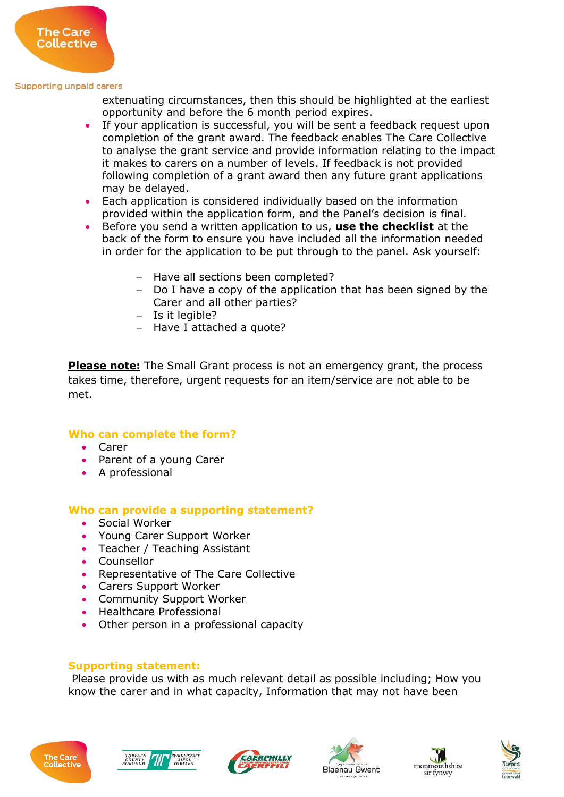

extenuating circumstances, then this should be highlighted at the earliest opportunity and before the 6 month period expires.

- If your application is successful, you will be sent a feedback request upon completion of the grant award. The feedback enables The Care Collective to analyse the grant service and provide information relating to the impact it makes to carers on a number of levels. If feedback is not provided following completion of a grant award then any future grant applications may be delayed.
- Each application is considered individually based on the information provided within the application form, and the Panel's decision is final.
- Before you send a written application to us, **use the checklist** at the back of the form to ensure you have included all the information needed in order for the application to be put through to the panel. Ask yourself:
	- Have all sections been completed?
	- Do I have a copy of the application that has been signed by the Carer and all other parties?
	- $-$  Is it legible?
	- $-$  Have I attached a quote?

**Please note:** The Small Grant process is not an emergency grant, the process takes time, therefore, urgent requests for an item/service are not able to be met.

## **Who can complete the form?**

- Carer
- Parent of a young Carer
- A professional

## **Who can provide a supporting statement?**

- Social Worker
- Young Carer Support Worker
- Teacher / Teaching Assistant
- Counsellor
- Representative of The Care Collective
- Carers Support Worker
- Community Support Worker
- Healthcare Professional
- Other person in a professional capacity

### **Supporting statement:**

Please provide us with as much relevant detail as possible including; How you know the carer and in what capacity, Information that may not have been











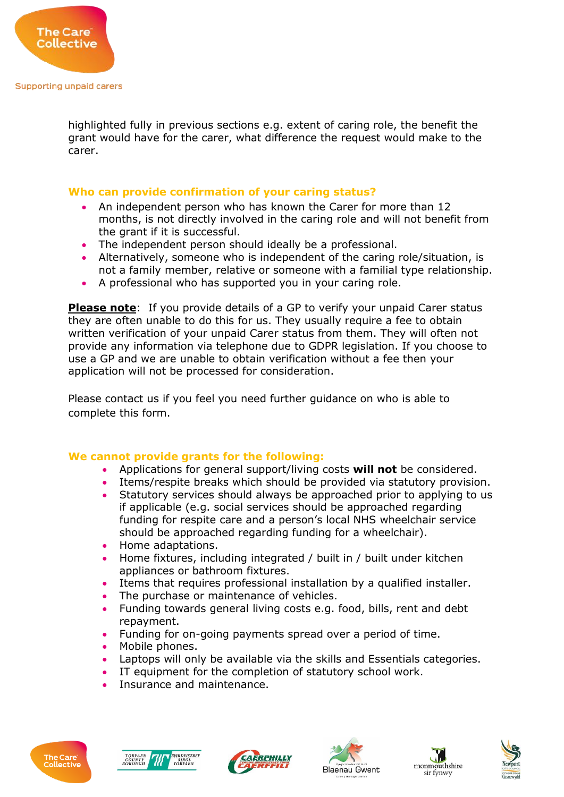

highlighted fully in previous sections e.g. extent of caring role, the benefit the grant would have for the carer, what difference the request would make to the carer.

## **Who can provide confirmation of your caring status?**

- An independent person who has known the Carer for more than 12 months, is not directly involved in the caring role and will not benefit from the grant if it is successful.
- The independent person should ideally be a professional.
- Alternatively, someone who is independent of the caring role/situation, is not a family member, relative or someone with a familial type relationship.
- A professional who has supported you in your caring role.

**Please note:** If you provide details of a GP to verify your unpaid Carer status they are often unable to do this for us. They usually require a fee to obtain written verification of your unpaid Carer status from them. They will often not provide any information via telephone due to GDPR legislation. If you choose to use a GP and we are unable to obtain verification without a fee then your application will not be processed for consideration.

Please contact us if you feel you need further guidance on who is able to complete this form.

## **We cannot provide grants for the following:**

- Applications for general support/living costs **will not** be considered.
- Items/respite breaks which should be provided via statutory provision.
- Statutory services should always be approached prior to applying to us if applicable (e.g. social services should be approached regarding funding for respite care and a person's local NHS wheelchair service should be approached regarding funding for a wheelchair).
- Home adaptations.
- Home fixtures, including integrated / built in / built under kitchen appliances or bathroom fixtures.
- Items that requires professional installation by a qualified installer.
- The purchase or maintenance of vehicles.
- Funding towards general living costs e.g. food, bills, rent and debt repayment.
- Funding for on-going payments spread over a period of time.
- Mobile phones.
- Laptops will only be available via the skills and Essentials categories.
- IT equipment for the completion of statutory school work.
- Insurance and maintenance.











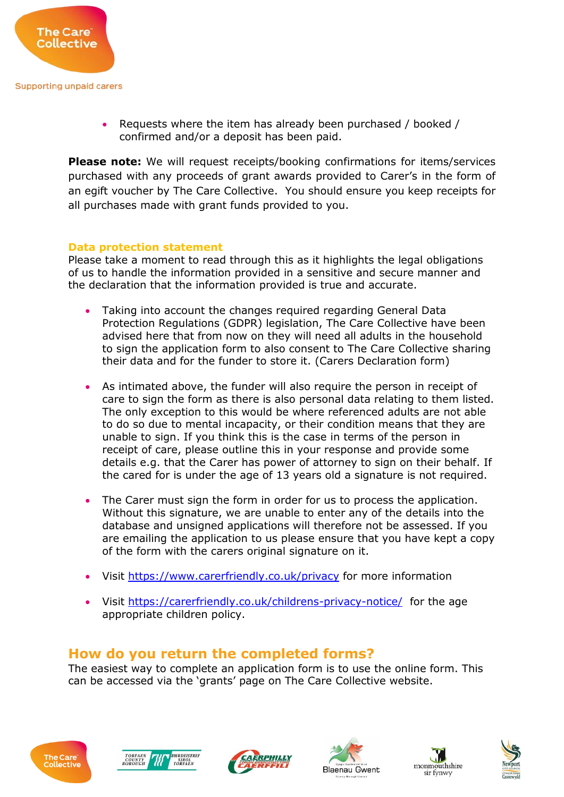

 Requests where the item has already been purchased / booked / confirmed and/or a deposit has been paid.

**Please note:** We will request receipts/booking confirmations for items/services purchased with any proceeds of grant awards provided to Carer's in the form of an egift voucher by The Care Collective. You should ensure you keep receipts for all purchases made with grant funds provided to you.

## **Data protection statement**

Please take a moment to read through this as it highlights the legal obligations of us to handle the information provided in a sensitive and secure manner and the declaration that the information provided is true and accurate.

- Taking into account the changes required regarding General Data Protection Regulations (GDPR) legislation, The Care Collective have been advised here that from now on they will need all adults in the household to sign the application form to also consent to The Care Collective sharing their data and for the funder to store it. (Carers Declaration form)
- As intimated above, the funder will also require the person in receipt of care to sign the form as there is also personal data relating to them listed. The only exception to this would be where referenced adults are not able to do so due to mental incapacity, or their condition means that they are unable to sign. If you think this is the case in terms of the person in receipt of care, please outline this in your response and provide some details e.g. that the Carer has power of attorney to sign on their behalf. If the cared for is under the age of 13 years old a signature is not required.
- The Carer must sign the form in order for us to process the application. Without this signature, we are unable to enter any of the details into the database and unsigned applications will therefore not be assessed. If you are emailing the application to us please ensure that you have kept a copy of the form with the carers original signature on it.
- Visit<https://www.carerfriendly.co.uk/privacy> for more information
- Visit<https://carerfriendly.co.uk/childrens-privacy-notice/> for the age appropriate children policy.

# **How do you return the completed forms?**

The easiest way to complete an application form is to use the online form. This can be accessed via the 'grants' page on The Care Collective website.











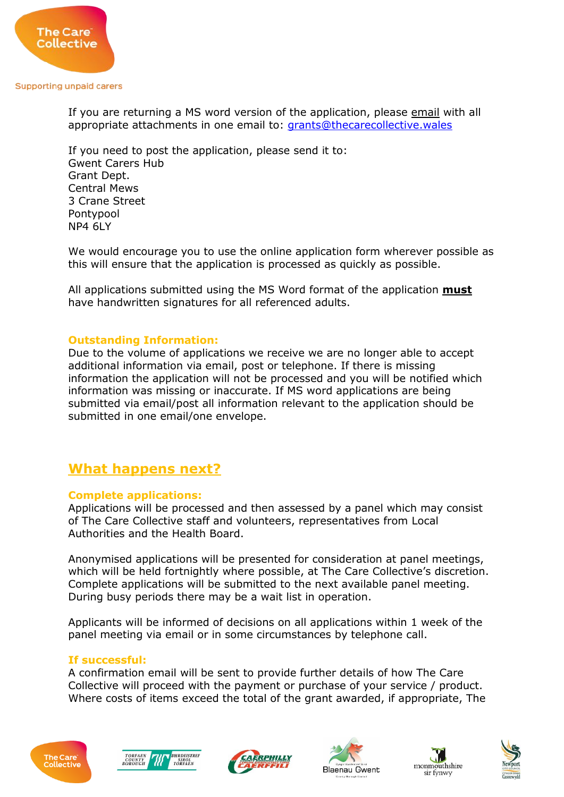

If you are returning a MS word version of the application, please email with all appropriate attachments in one email to: [grants@thecarecollective.wales](mailto:grants@thecarecollective.wales)

If you need to post the application, please send it to: Gwent Carers Hub Grant Dept. Central Mews 3 Crane Street Pontypool NP4 6LY

We would encourage you to use the online application form wherever possible as this will ensure that the application is processed as quickly as possible.

All applications submitted using the MS Word format of the application **must**  have handwritten signatures for all referenced adults.

## **Outstanding Information:**

Due to the volume of applications we receive we are no longer able to accept additional information via email, post or telephone. If there is missing information the application will not be processed and you will be notified which information was missing or inaccurate. If MS word applications are being submitted via email/post all information relevant to the application should be submitted in one email/one envelope.

# **What happens next?**

## **Complete applications:**

Applications will be processed and then assessed by a panel which may consist of The Care Collective staff and volunteers, representatives from Local Authorities and the Health Board.

Anonymised applications will be presented for consideration at panel meetings, which will be held fortnightly where possible, at The Care Collective's discretion. Complete applications will be submitted to the next available panel meeting. During busy periods there may be a wait list in operation.

Applicants will be informed of decisions on all applications within 1 week of the panel meeting via email or in some circumstances by telephone call.

## **If successful:**

A confirmation email will be sent to provide further details of how The Care Collective will proceed with the payment or purchase of your service / product. Where costs of items exceed the total of the grant awarded, if appropriate, The